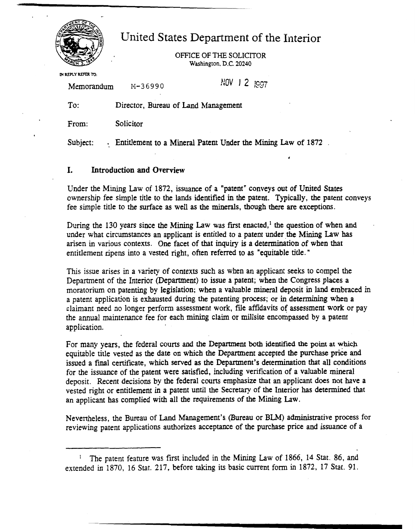

# United States Department of the Interior

OFFICE **OF THE** SOLICITOR **Washington.** D.C. **20240** 

**IN REPLY REFER** TO:

Memorandum M-36990

 $NOV$   $\overline{)2}$   $1007$ 

To: Director, Bureau of Land Management

From: Solicitor

Subject: . Entitlement to a Mineral Patent Under the Mining Law of 1872.

## **1. Introduction and Overview**

Under the Mining Law of 1872, **issuance** of a "patent" conveys out of United States ownership fee simple title to the lands identified in the patent. Typically, the patent conveys fee simple title to the surface as well as the minerals, though there **are** exceptions.

During the 130 years since the **Mining** Law was first enacted,' the question of when and under what circumstances an applicant is entitled to a patent under the Mining Law **has**  arisen in various contexts. One facet of that inquiry is a determination of when that entitlement ripens into a vested right, often referred to as "equitable title. "

This issue arises in a variety of contexts such as when an applicant seeks to compel the Department of the Interior (Department) to issue a patent; when the Congress places a moratorium on patenting by legislation; when a valuable mineral deposit in land embraced in a patent application is exhausted during the patenting process; or in determining when a claimant need no longer perform assessment work, file affidavits of assessment **work** or pay the annual maintenance fee for each mining claim or millsite encompassed by a patent appIication.

For many years, the federal courts and the Deparrment **both identifed the point** at **which**  equitable title vested as the date on which the Department accepted the **purchase** price and issued a final certificate, which served as **the** Department's determination that all conditions for the issuance of the patent were satisfied, including verification of a valuable mineral deposit. Recent decisions by the federal courts emphasize that an applicant does not have a vested right or entitlement in a patent until the Secretary of the Interior has determined that an applicant has complied with all the requirements of the Mining **Law.** 

Nevertheless, the Bureau of Land Management's (Bureau or **BLM)** administrative process for reviewing patent applications authorizes acceptance of the purchase price and issuance of a

The patent feature was first included in the Mining **Law** of 1866, 14 Stat. 86, and extended in 1870, 16 Stat. 217, before taking its basic current form in 1872, 17 Stat. 91.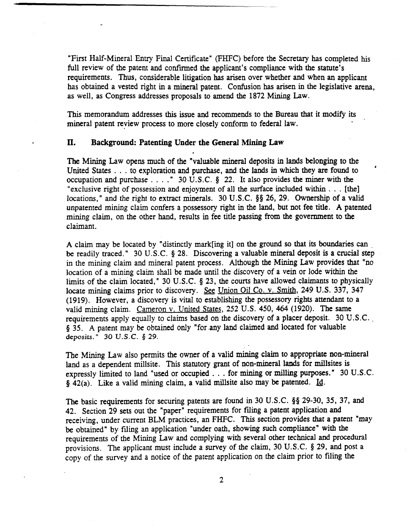"First Half-Mineral Entry Final Certificate" (FHFC) before the Secretary has completed his full review of the patent and confirmed the applicant's compliance with the statute's requirements. Thus, considerable litigation **has** arisen over whether and when an applicant has obtained a vested right in a mineral patent. Confusion has arisen in the legislative arena, as well, as Congress addresses proposals to amend the 1872 Mining Law.

This memorandum addresses this issue and recommends to the Bureau that it modify its mineral patent review process to more closely conform to federal law.

## **11. Background: Patenting Under the General Mining Law**

**The** Mining **Law** opens much of the "valuable mineral deposits in lands belonging to the United States . . . to exploration and purchase, **and** the **lands** in which they are found to *<sup>d</sup>* occupation and purchase . . . ." 30 U.S.C. **8** 22. It also provides the miner with the "exclusive right of possession and enjoyment of all the surface included within . . . [the] locations," and the right to extract minerals. 30 U.S.C. §§ 26, 29. Ownership of a valid unpatented **mining** claim confers a possessory right in the land, but not fee title. **A** patented **mining** claim, on the other hand, results in fee title passing from the government to the claimant.

A claim may be located by "distinctly markring it] on the ground so that its boundaries **can** , **be** readily traced. " 30 U. S.C. **5** 28. Discovering a valuable mineral deposit is a crucial step in the mining claim and mineral patent process. Although the **Mining** Law provides that "no location of a mining claim shall be made until the discovery of a vein or lode within the limits of the claim located," 30 U.S.C. § 23, the courts have allowed claimants to physically locate mining claims prior to discovery. &g Union Oil Co. v. Smith, 249 **U.S. 337,** 347 (1919). However, a discovery is vital to establishing the possessory **rights** attendant to a valid mining claim. Cameron v. United States, 252 U.S. 450, 464 (1920). The same requirements apply equally to claims based on the discovery of a placer deposit. 30 U.S.C. **8** 35. A patent may be obtained only "for .any land claimed and located for valuable **deposirs.** " 30 **U.S.C. 8 29.** 

The **Mining** Law also permits the owner of a valid **mining** claim to appropriate non-mineral land as a dependent millsite. **This** statutory grant of non-mineral lands for millsites is expressly limited to land "used or occupied . . . for **mining** or milling purposes. " 30 U.S.C.  $\frac{5}{42(a)}$ . Like a valid mining claim, a valid millsite also may be patented. Id.

**The** basic requirements for securing patents are found in 30 U.S.C. **95** 29-30, 35, **37,** and 42. Section 29 sets out the "paper" requirements for **filing** a patent application **and**  receiving, under current BLM practices, an FHFC. This section provides that a patent **"may be** obtained" by filing an application "under oath, showing such compliance" **with** the requirements of the Mining Law and complying with several other **technical** and procedural provisions. The applicant must include a survey of the claim, 30 U.S.C. **8** 29, and post a copy of the survey and a notice of the patent application on the claim prior to **filing** the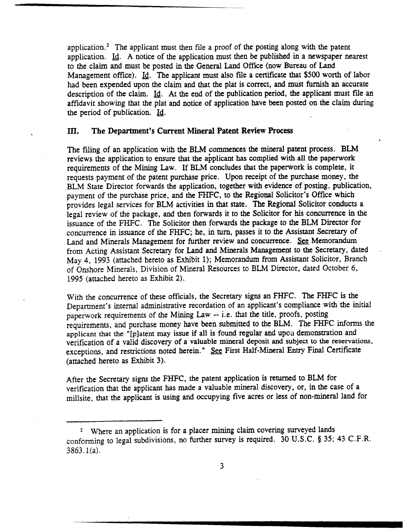application. $<sup>2</sup>$  The applicant must then file a proof of the posting along with the patent</sup> application.  $\underline{Id}$ . A notice of the application must then be published in a newspaper nearest to the claim and must be posted in the General Land **Ofice** (now Bureau of Land Management office). Id. The applicant must also file a certificate that \$500 worth of labor had been expended upon the claim and that the plat is correct, and must furnish an accurate description of the claim. Id. At the end of the publication period, the applicant must file an affidavit showing that the plat and notice of application have been posted on the claim during the period of publication. Id.

#### **ID. The Department's Current Mineral Patent Review Process**

The filing of an application with the **BLM** commences the mineral patent process. BLM reviews the application to ensure that **the** abplicant **has** complied with **all** the paperwork requirements of the **Mining Law.** If **BLM** concludes that the paperwork is complete, it requests payment of the patent purchase price. Upon receipt of the purchase money, the BLM State Director forwards the application, together with evidence of posting, publication, payment of the purchase price, and the **FHFC,** to the Regional Solicitor's Office which provides legal services for BLM activities in that **state.** The Regional Solicitor conducts a legal review of the package, and then forwards it to the Solicitor for his concurrence in the issuance of the FHFC. The Solicitor then forwards the package to the BLM Director for concurrence in issuance of the **FHFC;** he,. in **turn,** passes it to the Assistant **Secretary** of Land and Minerals Management for further review and concurrence. **See** Memorandum from Acting Assistant Secretary for Land and Minerals Management to the Secretary, dated - May 4, 1993 (attached hereto as Exhibit I); Memorandum from Assistant Solicitor, Branch of Onshore Minerals, Division of Mineral Resources to **BLM** Director, **dated** October 6, 1995 (attached hereto as Exhibit 2).

With the concurrence of these officials, the Secretary signs an FHFC. The FHFC is the Department's internal administrative recordation of **an** applicant's compliance with the initial paperwork requirements of the Mining **Law** -- i.e. that the title, proofs, posting requirements, and purchase money have been submitted to the BLM. The **FHFC** informs the applicant that the "[platent may issue if all is found regular and upon demonstration and verification of a valid discovery of a valuable mineral **deposit and subject to the reservations,**  exceptions, and restrictions noted herein." & First Half-Mineral **Entry Final** Certificate (attached hereto as Exhibit **3).** 

After the Secretary signs the FHFC, the patent application is returned to **BLM** for verification that the applicant has made a valuable mineral discovery, or, in the case of a millsite, that the applicant is using and occupying five acres or less of non-mineral land for

Where an application is for a placer **mining** claim covering surveyed lands conforming to legal subdivisions, no further survey is required. 30 U.S.C. **8** 35; 43 C.F.R.  $3863.1(a)$ .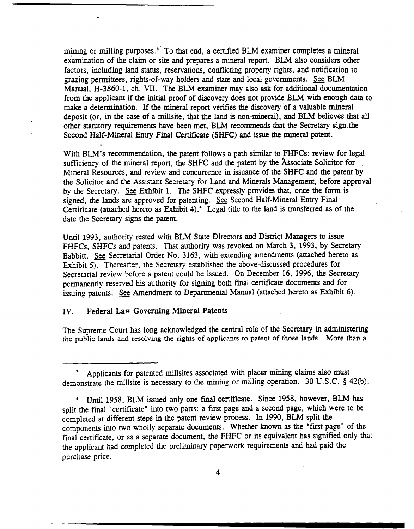mining or milling purposes. $3<sup>2</sup>$  To that end, a certified BLM examiner completes a mineral examination of the claim or site and prepares a mineral report. BLM also considers other factors, including land status, reservations, conflicting property rights, and notification to grazing permittees, rights-of-way holders and state and local governments. **BLM**  Manual, H-3860-1, ch. **VII.** The BLM examiner may also ask for additional documentation from the applicant if the initial proof of discovery does not provide **BLM** with enough data to make a determination. If the mineral report verifies the discovery of a valuable mineral deposit (or, in the case of a millsite, that the land is non-mineral), **and BLM** believes that all other statutory requirements have been met, **BLM** recommends that the Secretary sign the Second Half-Mineral Entry Final Certificate (SHFC) and issue the mineral patent.

With **BLM's** recommendation, the patent follows a path similar to FHFCs: review for legal sufficiency of the mineral report, the SHFC and the patent by the Associate Solicitor for Mineral Resources, and review and concurrence in issuance of the SHFC and the patent by the Solicitor and the Assistant Secretary for Land and Minerals Management, before approval by the Secretary. See Exhibit 1. The SHFC expressly provides that, once the form is signed, the lands are approved for patenting. &g Second Half-Mineral **Entry** Final Certificate (attached hereto as Exhibit **4).4** Legal title to the **land** is transferred as of the date the Secretary signs the patent.

Until 1993, authority rested with **BLM** State Directors and District Managers to **issue**  FHFCs, SHFCs and patents. That authority was revoked on March **3,** 1993, by Secretary Babbitt. See Secretarial Order No. 3163, with extending amendments (attached hereto as Exhibit 5). Thereafter, the Secretary established the above-discussed procedures for Secretarial review before a patent could be issued. On December 16, 1996, the Secretary permanently reserved his authority for signing both final certificate documents and for issuing patents. See Amendment to Departmental Manual (attached hereto as Exhibit 6).

#### *W.* **Federal Law Governing Mineral Patents**

-- -

The Supreme Court has long acknowledged the central role of the Secretary in administering **the public lands and resolving the rights of applicants to patent of those lands.** More than **a** 

Applicants for patented millsites associated with placer **mining** claims also must demonstrate the millsite is necessary to the mining or milling operation. 30 U.S.C. **5 42(b).** 

Until 1958, **BLM** issued only one final certificate. Since 1958, however, BLM **has**  split the final "certificate" into two parts: a first page and a second page, which were to be completed at different steps in the patent review process. In 1990, **BLM** split the components into two wholly separate documents. Whether known as the "first page" of the final certificate, or as a separate document, the **FHFC** or its equivalent has signified only that the applicant had complered the preliminary paperwork requirements and had paid the purchase price.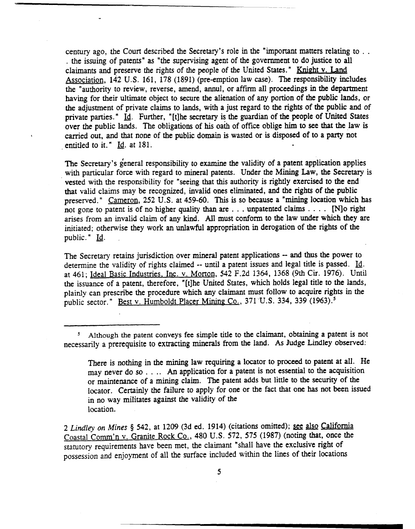century ago, the Court described the Secretary's role in the "important matters relating to . . . the issuing of patents" as "the supervising agent of the government to do justice to all claimants and preserve the rights of the people of the United States." Knight v. Land Association, 142 U.S. 161, 178 (1891) (pre-emption law case). The responsibility includes the "authority to review, reverse, amend, annul, or affirm all proceedings in the department having for their ultimate object to secure the alienation of any portion of the public lands, or the adjustment of private claims to lands, with a just regard to the rights of the public and of private parties. " **Id.** Further, " [tlhe secretary is the guardian of the people of United States over the public **lands.** The obligations of his oaih of office oblige him to see that the law is carried out, and that none of the public domain is wasted or is disposed of to a party not . entitled to it. " **Id.** at 181.

The Secretary's general responsibility to examine the validity of a patent application applies with particular force with regard to mineral patents. Under the Mining Law, the Secretary is vested with the responsibility for "seeing that this authority is rightly exercised to the end that valid claims may be recognized, invalid ones eliminated, and the rights of the public preserved." Cameron, 252 U.S. at 459-60. This is so because a "mining location which has not gone to patent is of no higher quality than are . . . unpatented claims . . . . [N]o right arises from an invalid claim of any kind. All must confann to **the** law under **which** they are initiated; otherwise they work an unlawful appropriation in derogation of the rights of the public." **Id.** 

The Secretary retains jurisdiction over mineral patent applications -- and thus the power to determine the validity of rights claimed -- until a patent issues and legal title is passed. **Id.**  at 461; Ideal Basic Industries, Inc. v. Morton, 542 F.2d 1364, 1368 (9th Cir. 1976). Until the issuance of a patent, therefore, "[tjhe United States, which holds legal title to the lands, plainly can prescribe the procedure which any claimant must follow to acquire rights in the public sector." Best v. Humboldt Placer Mining Co., 371 U.S. 334, 339 (1963).<sup>5</sup>

<sup>5</sup> Although the patent conveys fee simple title to the claimant, obtaining a patent is not necessarily a prerequisite to extracting minerals from the land. **As** Judge Lindley observed:

2 *Lindley* on **Mines** § 542, at 1209 (3d ed. 1914) (citations omitted); **see** also California Coastal Comm'n v. Granite Rock Co., 480 U.S. 572, 575 (1987) (noting that, once the statutory requirements have been met, the claimant "shall have the exclusive right of possession and enjoyment of all the surface included within the lines of their locations

There is nothing in the **mining** law requiring a locator to proceed to patent at **all.** He may never do so . . . . An application for a patent is not essential to the acquisition or maintenance of a **mining** claim. The patent adds but little to the security of the locator. Certainly the failure to apply for one or the fact that one has not been issued in no way militates against the validity of **the**  location.